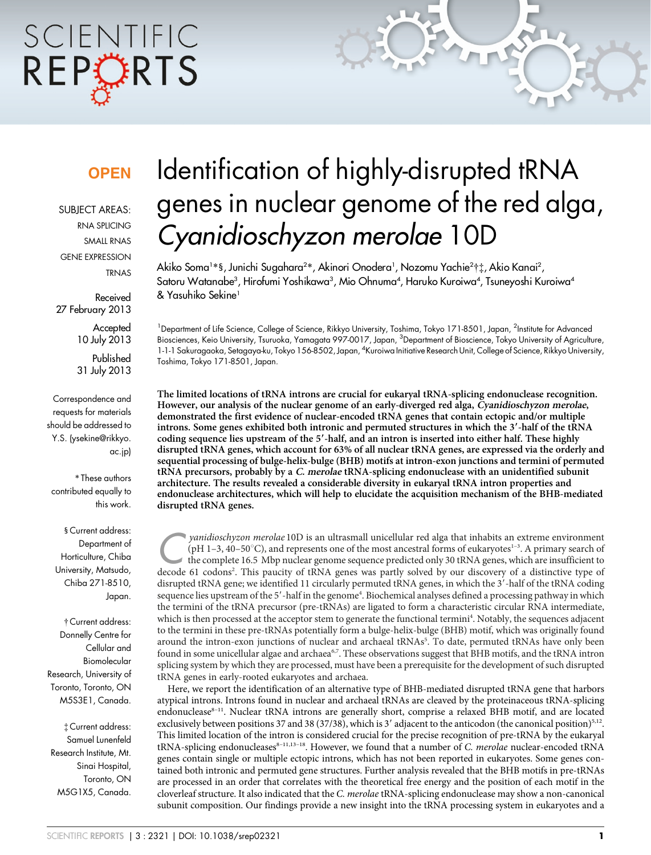# SCIENTIFIC REPCRTS

### **OPFN**

SUBJECT AREAS: RNA SPLICING SMALL RNAS GENE EXPRESSION TRNAS

Received 27 February 2013

> **Accepted** 10 July 2013 Published

> 31 July 2013

Correspondence and requests for materials should be addressed to Y.S. (ysekine@rikkyo. ac.jp)

\* These authors contributed equally to this work.

§ Current address: Department of Horticulture, Chiba University, Matsudo, Chiba 271-8510, Japan.

{ Current address: Donnelly Centre for Cellular and Biomolecular Research, University of Toronto, Toronto, ON M5S3E1, Canada.

{ Current address: Samuel Lunenfeld Research Institute, Mt. Sinai Hospital, Toronto, ON M5G1X5, Canada.

## Identification of highly-disrupted tRNA genes in nuclear genome of the red alga, Cyanidioschyzon merolae 10D

Akiko Soma1\*§, Junichi Sugahara<sup>2</sup>\*, Akinori Onodera<sup>1</sup>, Nozomu Yachie<sup>2</sup>†‡, Akio Kanai<sup>2</sup>, Satoru Watanabe<sup>3</sup>, Hirofumi Yoshikawa<sup>3</sup>, Mio Ohnuma<sup>4</sup>, Haruko Kuroiwa<sup>4</sup>, Tsuneyoshi Kuroiwa<sup>4</sup> & Yasuhiko Sekine1

<sup>1</sup> Department of Life Science, College of Science, Rikkyo University, Toshima, Tokyo 171-8501, Japan, <sup>2</sup>Institute for Advanced Biosciences, Keio University, Tsuruoka, Yamagata 997-0017, Japan, <sup>3</sup>Department of Bioscience, Tokyo University of Agriculture, 1-1-1 Sakuragaoka, Setagaya-ku, Tokyo 156-8502, Japan, <sup>4</sup>Kuroiwa Initiative Research Unit, College of Science, Rikkyo University, Toshima, Tokyo 171-8501, Japan.

The limited locations of tRNA introns are crucial for eukaryal tRNA-splicing endonuclease recognition. However, our analysis of the nuclear genome of an early-diverged red alga, Cyanidioschyzon merolae, demonstrated the first evidence of nuclear-encoded tRNA genes that contain ectopic and/or multiple introns. Some genes exhibited both intronic and permuted structures in which the 3'-half of the tRNA coding sequence lies upstream of the 5'-half, and an intron is inserted into either half. These highly disrupted tRNA genes, which account for 63% of all nuclear tRNA genes, are expressed via the orderly and sequential processing of bulge-helix-bulge (BHB) motifs at intron-exon junctions and termini of permuted tRNA precursors, probably by a C. merolae tRNA-splicing endonuclease with an unidentified subunit architecture. The results revealed a considerable diversity in eukaryal tRNA intron properties and endonuclease architectures, which will help to elucidate the acquisition mechanism of the BHB-mediated disrupted tRNA genes.

yanidioschyzon merolae 10D is an ultrasmall unicellular red alga that inhabits an extreme environment<br>(pH 1–3, 40–50°C), and represents one of the most ancestral forms of eukaryotes<sup>1–3</sup>. A primary search of<br>the complete 1 (pH 1–3, 40–50°C), and represents one of the most ancestral forms of eukaryotes<sup>1-3</sup>. A primary search of the complete 16.5 Mbp nuclear genome sequence predicted only 30 tRNA genes, which are insufficient to decode 61 codons<sup>2</sup>. This paucity of tRNA genes was partly solved by our discovery of a distinctive type of disrupted tRNA gene; we identified 11 circularly permuted tRNA genes, in which the 3'-half of the tRNA coding sequence lies upstream of the 5'-half in the genome<sup>4</sup>. Biochemical analyses defined a processing pathway in which the termini of the tRNA precursor (pre-tRNAs) are ligated to form a characteristic circular RNA intermediate, which is then processed at the acceptor stem to generate the functional termini<sup>4</sup>. Notably, the sequences adjacent to the termini in these pre-tRNAs potentially form a bulge-helix-bulge (BHB) motif, which was originally found around the intron-exon junctions of nuclear and archaeal tRNAs<sup>5</sup>. To date, permuted tRNAs have only been found in some unicellular algae and archaea<sup>6,7</sup>. These observations suggest that BHB motifs, and the tRNA intron splicing system by which they are processed, must have been a prerequisite for the development of such disrupted tRNA genes in early-rooted eukaryotes and archaea.

Here, we report the identification of an alternative type of BHB-mediated disrupted tRNA gene that harbors atypical introns. Introns found in nuclear and archaeal tRNAs are cleaved by the proteinaceous tRNA-splicing endonuclease<sup>8-11</sup>. Nuclear tRNA introns are generally short, comprise a relaxed BHB motif, and are located exclusively between positions 37 and 38 (37/38), which is 3' adjacent to the anticodon (the canonical position)<sup>5,12</sup>. This limited location of the intron is considered crucial for the precise recognition of pre-tRNA by the eukaryal tRNA-splicing endonucleases<sup>8-11,13-18</sup>. However, we found that a number of C. merolae nuclear-encoded tRNA genes contain single or multiple ectopic introns, which has not been reported in eukaryotes. Some genes contained both intronic and permuted gene structures. Further analysis revealed that the BHB motifs in pre-tRNAs are processed in an order that correlates with the theoretical free energy and the position of each motif in the cloverleaf structure. It also indicated that the C. merolae tRNA-splicing endonuclease may show a non-canonical subunit composition. Our findings provide a new insight into the tRNA processing system in eukaryotes and a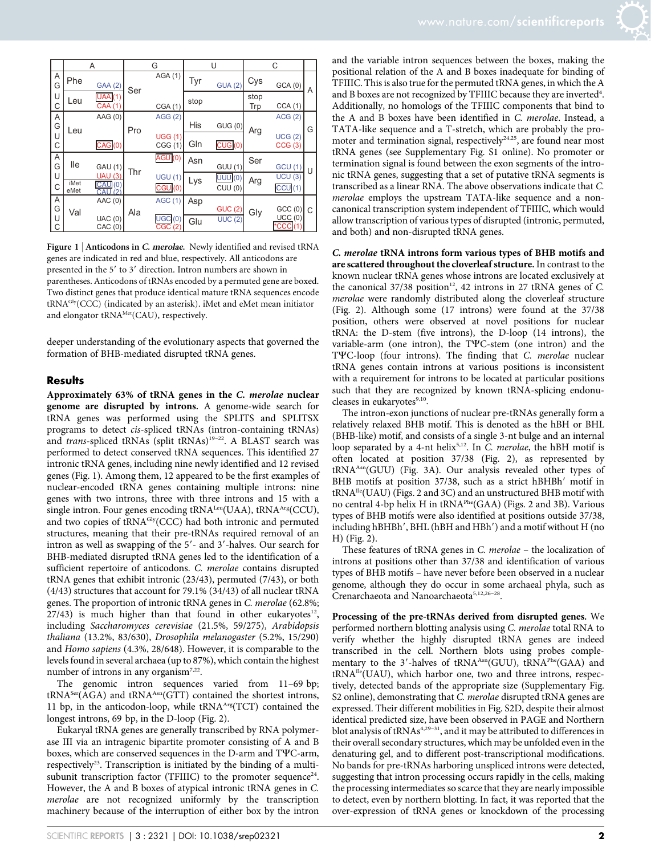|        | Α            |                                                | G   |                          | U    |                  | C           |                  |   |
|--------|--------------|------------------------------------------------|-----|--------------------------|------|------------------|-------------|------------------|---|
| А<br>G | Phe          | GAA (2)                                        | Ser | AGA(1)                   | Tyr  | <b>GUA (2)</b>   | Cys         | GCA(0)           | A |
| U<br>C | Leu          | <b>UAA</b> (1)<br><b>CAA (1)</b>               |     | CGA (1)                  | stop |                  | stop<br>Trp | CCA(1)           |   |
| А<br>G | Leu          | AAG (0)                                        | Pro | AGG(2)                   | His  | GUG(0)           | Arg         | ACG(2)           | G |
| U<br>С |              | CAG(0)                                         |     | <b>UGG (1)</b><br>CGG(1) | Gln  | CUG(0)           |             | UCG(2)<br>CCG(3) |   |
| Α<br>G | lle          | <b>GAU (1)</b>                                 | Thr | AGU <sub>(0)</sub>       | Asn  | <b>GUU (1)</b>   | Ser         | <b>GCU (1)</b>   | U |
| U<br>C | iMet<br>eMet | <b>UAU (3)</b><br>CAU <sub>(0</sub><br>CAU (2) |     | UGU(1)<br>CGU(0)         | Lys  | UUU(0)<br>CUU(0) | Arg         | UCU(3)<br>CCU(1) |   |
| Α<br>G | Val          | AAC(0)                                         | Ala | <b>AGC (1)</b>           | Asp  | <b>GUC (2)</b>   | Gly         | GCC(0)           | C |
| U<br>С |              | UAC(0)<br>CAC(0)                               |     | JGC(0)<br><b>CGC</b>     | Glu  | <b>UUC (2)</b>   |             | UCC(0)<br>*CCC   |   |

Figure 1 | Anticodons in C. merolae. Newly identified and revised tRNA genes are indicated in red and blue, respectively. All anticodons are presented in the 5' to 3' direction. Intron numbers are shown in parentheses. Anticodons of tRNAs encoded by a permuted gene are boxed. Two distinct genes that produce identical mature tRNA sequences encode tRNAGly(CCC) (indicated by an asterisk). iMet and eMet mean initiator and elongator tRNA<sup>Met</sup>(CAU), respectively.

deeper understanding of the evolutionary aspects that governed the formation of BHB-mediated disrupted tRNA genes.

#### Results

Approximately 63% of tRNA genes in the C. merolae nuclear genome are disrupted by introns. A genome-wide search for tRNA genes was performed using the SPLITS and SPLITSX programs to detect cis-spliced tRNAs (intron-containing tRNAs) and trans-spliced tRNAs (split tRNAs)<sup>19-22</sup>. A BLAST search was performed to detect conserved tRNA sequences. This identified 27 intronic tRNA genes, including nine newly identified and 12 revised genes (Fig. 1). Among them, 12 appeared to be the first examples of nuclear-encoded tRNA genes containing multiple introns: nine genes with two introns, three with three introns and 15 with a single intron. Four genes encoding tRNA<sup>Leu</sup>(UAA), tRNA<sup>Arg</sup>(CCU), and two copies of tRNAGly(CCC) had both intronic and permuted structures, meaning that their pre-tRNAs required removal of an intron as well as swapping of the 5'- and 3'-halves. Our search for BHB-mediated disrupted tRNA genes led to the identification of a sufficient repertoire of anticodons. C. merolae contains disrupted tRNA genes that exhibit intronic (23/43), permuted (7/43), or both (4/43) structures that account for 79.1% (34/43) of all nuclear tRNA genes. The proportion of intronic tRNA genes in C. merolae (62.8%;  $27/43$ ) is much higher than that found in other eukaryotes<sup>12</sup>, including Saccharomyces cerevisiae (21.5%, 59/275), Arabidopsis thaliana (13.2%, 83/630), Drosophila melanogaster (5.2%, 15/290) and Homo sapiens (4.3%, 28/648). However, it is comparable to the levels found in several archaea (up to 87%), which contain the highest number of introns in any organism<sup>7,22</sup>.

The genomic intron sequences varied from 11–69 bp; tRNA<sup>Ser</sup>(AGA) and tRNA<sup>Asn</sup>(GTT) contained the shortest introns, 11 bp, in the anticodon-loop, while  $tRNA<sup>Arg</sup>(TCT)$  contained the longest introns, 69 bp, in the D-loop (Fig. 2).

Eukaryal tRNA genes are generally transcribed by RNA polymerase III via an intragenic bipartite promoter consisting of A and B boxes, which are conserved sequences in the D-arm and TYC-arm, respectively<sup>23</sup>. Transcription is initiated by the binding of a multisubunit transcription factor (TFIIIC) to the promoter sequence<sup>24</sup>. However, the A and B boxes of atypical intronic tRNA genes in C. merolae are not recognized uniformly by the transcription machinery because of the interruption of either box by the intron

and the variable intron sequences between the boxes, making the positional relation of the A and B boxes inadequate for binding of TFIIIC. This is also true for the permuted tRNA genes, in which the A and B boxes are not recognized by TFIIIC because they are inverted<sup>4</sup>. Additionally, no homologs of the TFIIIC components that bind to the A and B boxes have been identified in C. merolae. Instead, a TATA-like sequence and a T-stretch, which are probably the promoter and termination signal, respectively<sup>24,25</sup>, are found near most tRNA genes (see Supplementary Fig. S1 online). No promoter or termination signal is found between the exon segments of the intronic tRNA genes, suggesting that a set of putative tRNA segments is transcribed as a linear RNA. The above observations indicate that C. merolae employs the upstream TATA-like sequence and a noncanonical transcription system independent of TFIIIC, which would allow transcription of various types of disrupted (intronic, permuted, and both) and non-disrupted tRNA genes.

C. merolae tRNA introns form various types of BHB motifs and are scattered throughout the cloverleaf structure. In contrast to the known nuclear tRNA genes whose introns are located exclusively at the canonical  $37/38$  position<sup>12</sup>, 42 introns in 27 tRNA genes of C. merolae were randomly distributed along the cloverleaf structure (Fig. 2). Although some (17 introns) were found at the 37/38 position, others were observed at novel positions for nuclear tRNA: the D-stem (five introns), the D-loop (14 introns), the variable-arm (one intron), the TYC-stem (one intron) and the TYC-loop (four introns). The finding that C. merolae nuclear tRNA genes contain introns at various positions is inconsistent with a requirement for introns to be located at particular positions such that they are recognized by known tRNA-splicing endonucleases in eukaryotes<sup>9,10</sup>.

The intron-exon junctions of nuclear pre-tRNAs generally form a relatively relaxed BHB motif. This is denoted as the hBH or BHL (BHB-like) motif, and consists of a single 3-nt bulge and an internal loop separated by a 4-nt helix<sup>5,12</sup>. In C. merolae, the hBH motif is often located at position 37/38 (Fig. 2), as represented by tRNA<sup>Asn</sup>(GUU) (Fig. 3A). Our analysis revealed other types of BHB motifs at position 37/38, such as a strict hBHBh' motif in tRNAIle(UAU) (Figs. 2 and 3C) and an unstructured BHB motif with no central 4-bp helix H in tRNAPhe(GAA) (Figs. 2 and 3B). Various types of BHB motifs were also identified at positions outside 37/38, including hBHBh', BHL (hBH and HBh') and a motif without H (no H) (Fig. 2).

These features of tRNA genes in C. merolae – the localization of introns at positions other than 37/38 and identification of various types of BHB motifs – have never before been observed in a nuclear genome, although they do occur in some archaeal phyla, such as Crenarchaeota and Nanoarchaeota<sup>5,12,26-28</sup>.

Processing of the pre-tRNAs derived from disrupted genes. We performed northern blotting analysis using C. merolae total RNA to verify whether the highly disrupted tRNA genes are indeed transcribed in the cell. Northern blots using probes complementary to the 3'-halves of tRNA<sup>Asn</sup>(GUU), tRNA<sup>Phe</sup>(GAA) and tRNAIle(UAU), which harbor one, two and three introns, respectively, detected bands of the appropriate size (Supplementary Fig. S2 online), demonstrating that *C. merolae* disrupted tRNA genes are expressed. Their different mobilities in Fig. S2D, despite their almost identical predicted size, have been observed in PAGE and Northern blot analysis of tRNAs<sup>4,29-31</sup>, and it may be attributed to differences in their overall secondary structures, which may be unfolded even in the denaturing gel, and to different post-transcriptional modifications. No bands for pre-tRNAs harboring unspliced introns were detected, suggesting that intron processing occurs rapidly in the cells, making the processing intermediates so scarce that they are nearly impossible to detect, even by northern blotting. In fact, it was reported that the over-expression of tRNA genes or knockdown of the processing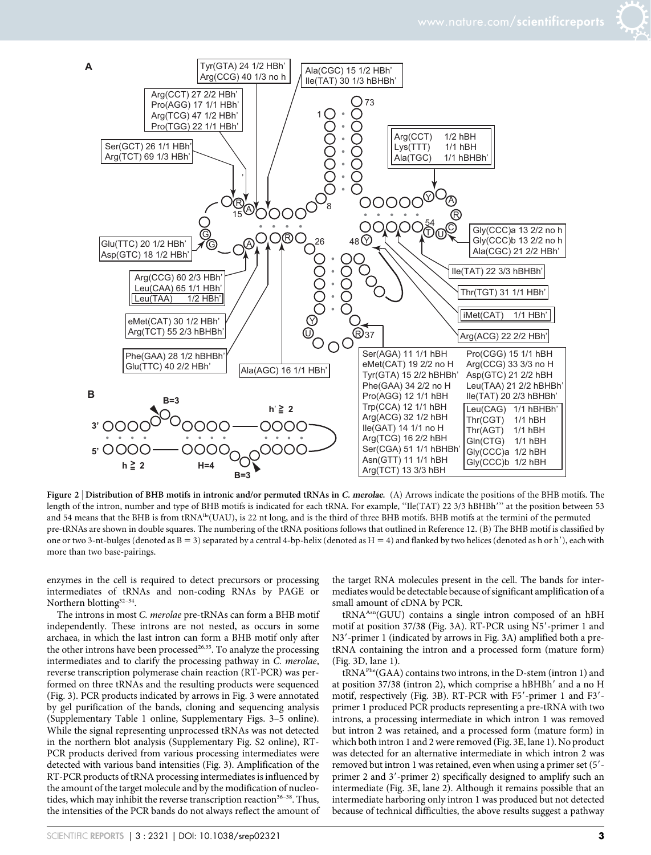

Figure 2 | Distribution of BHB motifs in intronic and/or permuted tRNAs in C. merolae. (A) Arrows indicate the positions of the BHB motifs. The length of the intron, number and type of BHB motifs is indicated for each tRNA. For example, "Ile(TAT) 22 3/3 hBHBh"' at the position between 53 and 54 means that the BHB is from tRNA<sup>Ile</sup>(UAU), is 22 nt long, and is the third of three BHB motifs. BHB motifs at the termini of the permuted pre-tRNAs are shown in double squares. The numbering of the tRNA positions follows that outlined in Reference 12. (B) The BHB motif is classified by one or two 3-nt-bulges (denoted as  $B = 3$ ) separated by a central 4-bp-helix (denoted as  $H = 4$ ) and flanked by two helices (denoted as h or h'), each with more than two base-pairings.

enzymes in the cell is required to detect precursors or processing intermediates of tRNAs and non-coding RNAs by PAGE or Northern blotting<sup>32-34</sup>.

The introns in most C. merolae pre-tRNAs can form a BHB motif independently. These introns are not nested, as occurs in some archaea, in which the last intron can form a BHB motif only after the other introns have been processed<sup>26,35</sup>. To analyze the processing intermediates and to clarify the processing pathway in C. merolae, reverse transcription polymerase chain reaction (RT-PCR) was performed on three tRNAs and the resulting products were sequenced (Fig. 3). PCR products indicated by arrows in Fig. 3 were annotated by gel purification of the bands, cloning and sequencing analysis (Supplementary Table 1 online, Supplementary Figs. 3–5 online). While the signal representing unprocessed tRNAs was not detected in the northern blot analysis (Supplementary Fig. S2 online), RT-PCR products derived from various processing intermediates were detected with various band intensities (Fig. 3). Amplification of the RT-PCR products of tRNA processing intermediates is influenced by the amount of the target molecule and by the modification of nucleotides, which may inhibit the reverse transcription reaction $36-38$ . Thus, the intensities of the PCR bands do not always reflect the amount of the target RNA molecules present in the cell. The bands for intermediates would be detectable because of significant amplification of a small amount of cDNA by PCR.

tRNA<sup>Asn</sup>(GUU) contains a single intron composed of an hBH motif at position 37/38 (Fig. 3A). RT-PCR using N5'-primer 1 and N3'-primer 1 (indicated by arrows in Fig. 3A) amplified both a pretRNA containing the intron and a processed form (mature form) (Fig. 3D, lane 1).

tRNAPhe(GAA) contains two introns, in the D-stem (intron 1) and at position 37/38 (intron 2), which comprise a hBHBh' and a no H motif, respectively (Fig. 3B). RT-PCR with F5'-primer 1 and F3'primer 1 produced PCR products representing a pre-tRNA with two introns, a processing intermediate in which intron 1 was removed but intron 2 was retained, and a processed form (mature form) in which both intron 1 and 2 were removed (Fig. 3E, lane 1). No product was detected for an alternative intermediate in which intron 2 was removed but intron 1 was retained, even when using a primer set (5'primer 2 and 3'-primer 2) specifically designed to amplify such an intermediate (Fig. 3E, lane 2). Although it remains possible that an intermediate harboring only intron 1 was produced but not detected because of technical difficulties, the above results suggest a pathway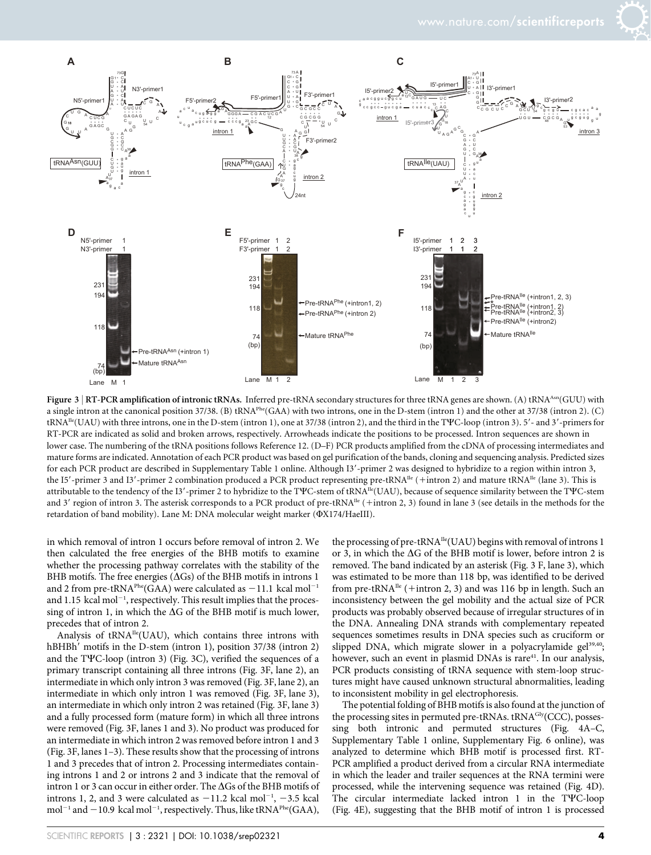

Figure 3 | RT-PCR amplification of intronic tRNAs. Inferred pre-tRNA secondary structures for three tRNA genes are shown. (A) tRNA<sup>Asn</sup>(GUU) with a single intron at the canonical position 37/38. (B) tRNAPhe(GAA) with two introns, one in the D-stem (intron 1) and the other at 37/38 (intron 2). (C) tRNA<sup>Ile</sup>(UAU) with three introns, one in the D-stem (intron 1), one at 37/38 (intron 2), and the third in the TYC-loop (intron 3). 5'- and 3'-primers for RT-PCR are indicated as solid and broken arrows, respectively. Arrowheads indicate the positions to be processed. Intron sequences are shown in lower case. The numbering of the tRNA positions follows Reference 12. (D–F) PCR products amplified from the cDNA of processing intermediates and mature forms are indicated. Annotation of each PCR product was based on gel purification of the bands, cloning and sequencing analysis. Predicted sizes for each PCR product are described in Supplementary Table 1 online. Although I3'-primer 2 was designed to hybridize to a region within intron 3, the I5'-primer 3 and I3'-primer 2 combination produced a PCR product representing pre-tRNA<sup>Ile</sup> (+intron 2) and mature tRNA<sup>Ile</sup> (lane 3). This is attributable to the tendency of the I3'-primer 2 to hybridize to the TYC-stem of tRNA<sup>ne</sup>(UAU), because of sequence similarity between the TYC-stem and 3' region of intron 3. The asterisk corresponds to a PCR product of pre-tRNA<sup>Ile</sup> (+intron 2, 3) found in lane 3 (see details in the methods for the retardation of band mobility). Lane M: DNA molecular weight marker ( $\Phi$ X174/HaeIII).

in which removal of intron 1 occurs before removal of intron 2. We then calculated the free energies of the BHB motifs to examine whether the processing pathway correlates with the stability of the BHB motifs. The free energies ( $\Delta$ Gs) of the BHB motifs in introns 1 and 2 from pre-tRNA<sup>Phe</sup>(GAA) were calculated as  $-11.1$  kcal mol<sup>-1</sup> and 1.15 kcal mol<sup>-1</sup>, respectively. This result implies that the processing of intron 1, in which the  $\Delta G$  of the BHB motif is much lower, precedes that of intron 2.

Analysis of tRNAIle(UAU), which contains three introns with hBHBh' motifs in the D-stem (intron 1), position 37/38 (intron 2) and the TYC-loop (intron 3) (Fig. 3C), verified the sequences of a primary transcript containing all three introns (Fig. 3F, lane 2), an intermediate in which only intron 3 was removed (Fig. 3F, lane 2), an intermediate in which only intron 1 was removed (Fig. 3F, lane 3), an intermediate in which only intron 2 was retained (Fig. 3F, lane 3) and a fully processed form (mature form) in which all three introns were removed (Fig. 3F, lanes 1 and 3). No product was produced for an intermediate in which intron 2 was removed before intron 1 and 3 (Fig. 3F, lanes 1–3). These results show that the processing of introns 1 and 3 precedes that of intron 2. Processing intermediates containing introns 1 and 2 or introns 2 and 3 indicate that the removal of intron 1 or 3 can occur in either order. The  $\Delta G$ s of the BHB motifs of introns 1, 2, and 3 were calculated as  $-11.2$  kcal mol<sup>-1</sup>,  $-3.5$  kcal mol<sup>-1</sup> and  $-10.9\,$  kcal mol<sup>-1</sup>, respectively. Thus, like tRNA<sup>Phe</sup>(GAA),

the processing of pre-tRNA<sup>Ile</sup>(UAU) begins with removal of introns 1 or 3, in which the  $\Delta G$  of the BHB motif is lower, before intron 2 is removed. The band indicated by an asterisk (Fig. 3 F, lane 3), which was estimated to be more than 118 bp, was identified to be derived from pre-tRNA<sup>Ile</sup> (+intron 2, 3) and was 116 bp in length. Such an inconsistency between the gel mobility and the actual size of PCR products was probably observed because of irregular structures of in the DNA. Annealing DNA strands with complementary repeated sequences sometimes results in DNA species such as cruciform or slipped DNA, which migrate slower in a polyacrylamide gel<sup>39,40</sup>; however, such an event in plasmid DNAs is rare<sup>41</sup>. In our analysis, PCR products consisting of tRNA sequence with stem-loop structures might have caused unknown structural abnormalities, leading to inconsistent mobility in gel electrophoresis.

The potential folding of BHB motifs is also found at the junction of the processing sites in permuted pre-tRNAs. tRNA<sup>Gly</sup>(CCC), possessing both intronic and permuted structures (Fig. 4A–C, Supplementary Table 1 online, Supplementary Fig. 6 online), was analyzed to determine which BHB motif is processed first. RT-PCR amplified a product derived from a circular RNA intermediate in which the leader and trailer sequences at the RNA termini were processed, while the intervening sequence was retained (Fig. 4D). The circular intermediate lacked intron 1 in the TYC-loop (Fig. 4E), suggesting that the BHB motif of intron 1 is processed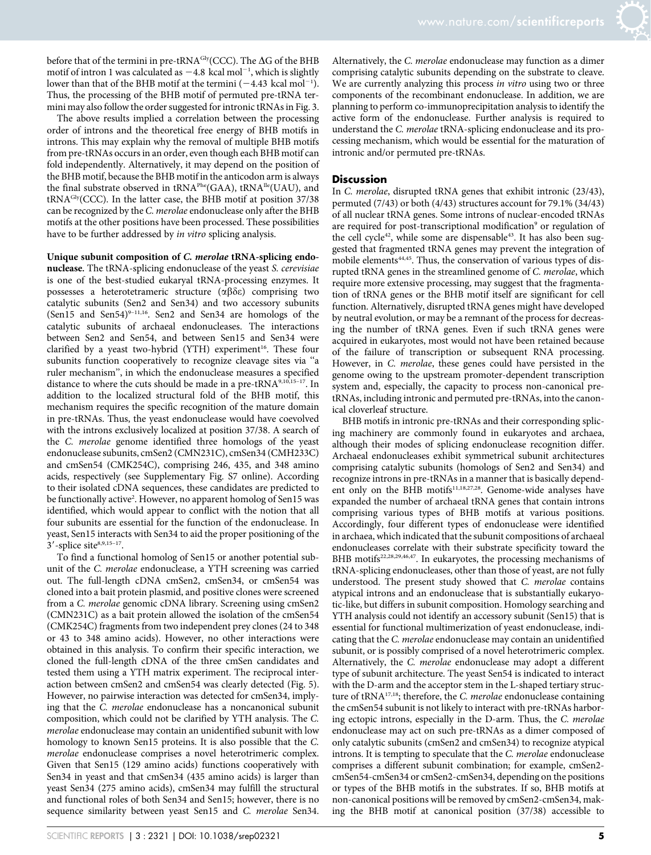before that of the termini in pre-tRNA $\rm ^{Gly}$ (CCC). The  $\Delta G$  of the BHB motif of intron 1 was calculated as  $-4.8$  kcal mol<sup>-1</sup>, which is slightly lower than that of the BHB motif at the termini  $(-4.43 \text{ kcal mol}^{-1})$ . Thus, the processing of the BHB motif of permuted pre-tRNA termini may also follow the order suggested for intronic tRNAs in Fig. 3.

The above results implied a correlation between the processing order of introns and the theoretical free energy of BHB motifs in introns. This may explain why the removal of multiple BHB motifs from pre-tRNAs occurs in an order, even though each BHB motif can fold independently. Alternatively, it may depend on the position of the BHB motif, because the BHB motif in the anticodon arm is always the final substrate observed in tRNA<sup>Phe</sup>(GAA), tRNA<sup>Ile</sup>(UAU), and tRNAGly(CCC). In the latter case, the BHB motif at position 37/38 can be recognized by the C. merolae endonuclease only after the BHB motifs at the other positions have been processed. These possibilities have to be further addressed by in vitro splicing analysis.

#### Unique subunit composition of C. merolae tRNA-splicing endo-

nuclease. The tRNA-splicing endonuclease of the yeast S. cerevisiae is one of the best-studied eukaryal tRNA-processing enzymes. It possesses a heterotetrameric structure  $(\alpha\beta\delta\varepsilon)$  comprising two catalytic subunits (Sen2 and Sen34) and two accessory subunits (Sen15 and Sen54) $9-11,16$ . Sen2 and Sen34 are homologs of the catalytic subunits of archaeal endonucleases. The interactions between Sen2 and Sen54, and between Sen15 and Sen34 were clarified by a yeast two-hybrid (YTH) experiment<sup>16</sup>. These four subunits function cooperatively to recognize cleavage sites via ''a ruler mechanism'', in which the endonuclease measures a specified distance to where the cuts should be made in a pre-tRNA9,10,15–17. In addition to the localized structural fold of the BHB motif, this mechanism requires the specific recognition of the mature domain in pre-tRNAs. Thus, the yeast endonuclease would have coevolved with the introns exclusively localized at position 37/38. A search of the C. merolae genome identified three homologs of the yeast endonuclease subunits, cmSen2 (CMN231C), cmSen34 (CMH233C) and cmSen54 (CMK254C), comprising 246, 435, and 348 amino acids, respectively (see Supplementary Fig. S7 online). According to their isolated cDNA sequences, these candidates are predicted to be functionally active<sup>2</sup>. However, no apparent homolog of Sen15 was identified, which would appear to conflict with the notion that all four subunits are essential for the function of the endonuclease. In yeast, Sen15 interacts with Sen34 to aid the proper positioning of the  $3'$ -splice site<sup>8,9,15–17</sup>.

To find a functional homolog of Sen15 or another potential subunit of the C. merolae endonuclease, a YTH screening was carried out. The full-length cDNA cmSen2, cmSen34, or cmSen54 was cloned into a bait protein plasmid, and positive clones were screened from a C. merolae genomic cDNA library. Screening using cmSen2 (CMN231C) as a bait protein allowed the isolation of the cmSen54 (CMK254C) fragments from two independent prey clones (24 to 348 or 43 to 348 amino acids). However, no other interactions were obtained in this analysis. To confirm their specific interaction, we cloned the full-length cDNA of the three cmSen candidates and tested them using a YTH matrix experiment. The reciprocal interaction between cmSen2 and cmSen54 was clearly detected (Fig. 5). However, no pairwise interaction was detected for cmSen34, implying that the C. merolae endonuclease has a noncanonical subunit composition, which could not be clarified by YTH analysis. The C. merolae endonuclease may contain an unidentified subunit with low homology to known Sen15 proteins. It is also possible that the C. merolae endonuclease comprises a novel heterotrimeric complex. Given that Sen15 (129 amino acids) functions cooperatively with Sen34 in yeast and that cmSen34 (435 amino acids) is larger than yeast Sen34 (275 amino acids), cmSen34 may fulfill the structural and functional roles of both Sen34 and Sen15; however, there is no sequence similarity between yeast Sen15 and C. merolae Sen34.

#### **Discussion**

In C. merolae, disrupted tRNA genes that exhibit intronic (23/43), permuted (7/43) or both (4/43) structures account for 79.1% (34/43) of all nuclear tRNA genes. Some introns of nuclear-encoded tRNAs are required for post-transcriptional modification<sup>9</sup> or regulation of the cell cycle<sup>42</sup>, while some are dispensable<sup>43</sup>. It has also been suggested that fragmented tRNA genes may prevent the integration of mobile elements<sup>44,45</sup>. Thus, the conservation of various types of disrupted tRNA genes in the streamlined genome of C. merolae, which require more extensive processing, may suggest that the fragmentation of tRNA genes or the BHB motif itself are significant for cell function. Alternatively, disrupted tRNA genes might have developed by neutral evolution, or may be a remnant of the process for decreasing the number of tRNA genes. Even if such tRNA genes were acquired in eukaryotes, most would not have been retained because of the failure of transcription or subsequent RNA processing. However, in C. merolae, these genes could have persisted in the genome owing to the upstream promoter-dependent transcription system and, especially, the capacity to process non-canonical pretRNAs, including intronic and permuted pre-tRNAs, into the canonical cloverleaf structure.

BHB motifs in intronic pre-tRNAs and their corresponding splicing machinery are commonly found in eukaryotes and archaea, although their modes of splicing endonuclease recognition differ. Archaeal endonucleases exhibit symmetrical subunit architectures comprising catalytic subunits (homologs of Sen2 and Sen34) and recognize introns in pre-tRNAs in a manner that is basically dependent only on the BHB motifs $11,18,27,28$ . Genome-wide analyses have expanded the number of archaeal tRNA genes that contain introns comprising various types of BHB motifs at various positions. Accordingly, four different types of endonuclease were identified in archaea, which indicated that the subunit compositions of archaeal endonucleases correlate with their substrate specificity toward the BHB motifs<sup>22,28,29,46,47</sup>. In eukaryotes, the processing mechanisms of tRNA-splicing endonucleases, other than those of yeast, are not fully understood. The present study showed that C. merolae contains atypical introns and an endonuclease that is substantially eukaryotic-like, but differs in subunit composition. Homology searching and YTH analysis could not identify an accessory subunit (Sen15) that is essential for functional multimerization of yeast endonuclease, indicating that the C. merolae endonuclease may contain an unidentified subunit, or is possibly comprised of a novel heterotrimeric complex. Alternatively, the C. merolae endonuclease may adopt a different type of subunit architecture. The yeast Sen54 is indicated to interact with the D-arm and the acceptor stem in the L-shaped tertiary structure of tRNA<sup>17,18</sup>; therefore, the *C. merolae* endonuclease containing the cmSen54 subunit is not likely to interact with pre-tRNAs harboring ectopic introns, especially in the D-arm. Thus, the C. merolae endonuclease may act on such pre-tRNAs as a dimer composed of only catalytic subunits (cmSen2 and cmSen34) to recognize atypical introns. It is tempting to speculate that the C. merolae endonuclease comprises a different subunit combination; for example, cmSen2 cmSen54-cmSen34 or cmSen2-cmSen34, depending on the positions or types of the BHB motifs in the substrates. If so, BHB motifs at non-canonical positions will be removed by cmSen2-cmSen34, making the BHB motif at canonical position (37/38) accessible to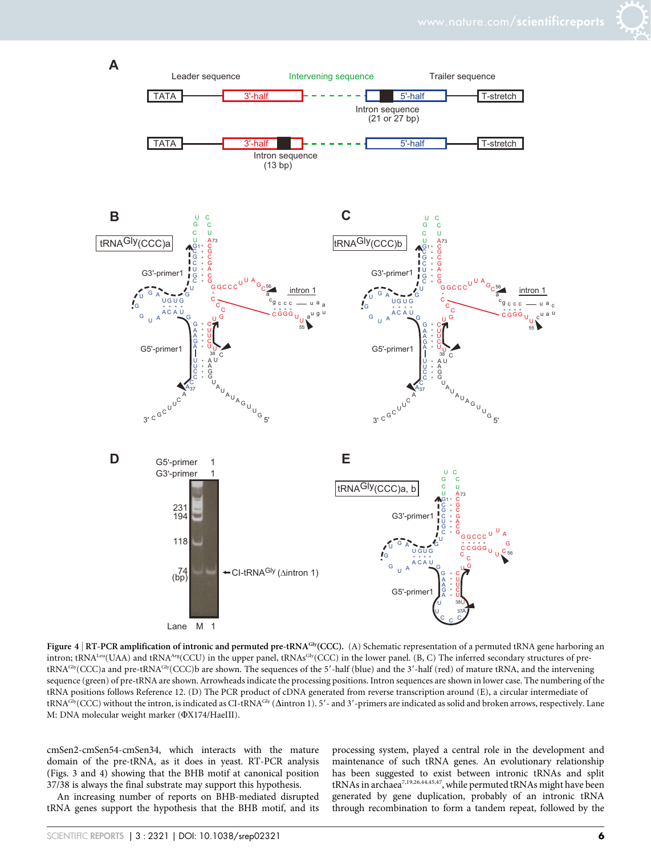

Figure 4 | RT-PCR amplification of intronic and permuted pre-tRNA<sup>Gly</sup>(CCC). (A) Schematic representation of a permuted tRNA gene harboring an intron; tRNA<sup>Leu</sup>(UAA) and tRNA<sup>Arg</sup>(CCU) in the upper panel, tRNAs<sup>Gly</sup>(CCC) in the lower panel. (B, C) The inferred secondary structures of pretRNA<sup>Gly</sup>(CCC)a and pre-tRNA<sup>Gly</sup>(CCC)b are shown. The sequences of the 5'-half (blue) and the 3'-half (red) of mature tRNA, and the intervening sequence (green) of pre-tRNA are shown. Arrowheads indicate the processing positions. Intron sequences are shown in lower case. The numbering of the tRNA positions follows Reference 12. (D) The PCR product of cDNA generated from reverse transcription around (E), a circular intermediate of tRNA<sup>Gly</sup>(CCC) without the intron, is indicated as CI-tRNA<sup>Gly</sup> ( $\Delta$ intron 1). 5'- and 3'-primers are indicated as solid and broken arrows, respectively. Lane M: DNA molecular weight marker ( $\Phi$ X174/HaeIII).

cmSen2-cmSen54-cmSen34, which interacts with the mature domain of the pre-tRNA, as it does in yeast. RT-PCR analysis (Figs. 3 and 4) showing that the BHB motif at canonical position 37/38 is always the final substrate may support this hypothesis.

An increasing number of reports on BHB-mediated disrupted tRNA genes support the hypothesis that the BHB motif, and its

processing system, played a central role in the development and maintenance of such tRNA genes. An evolutionary relationship has been suggested to exist between intronic tRNAs and split tRNAs in archaea<sup>7,19,26,44,45,47</sup>, while permuted tRNAs might have been generated by gene duplication, probably of an intronic tRNA through recombination to form a tandem repeat, followed by the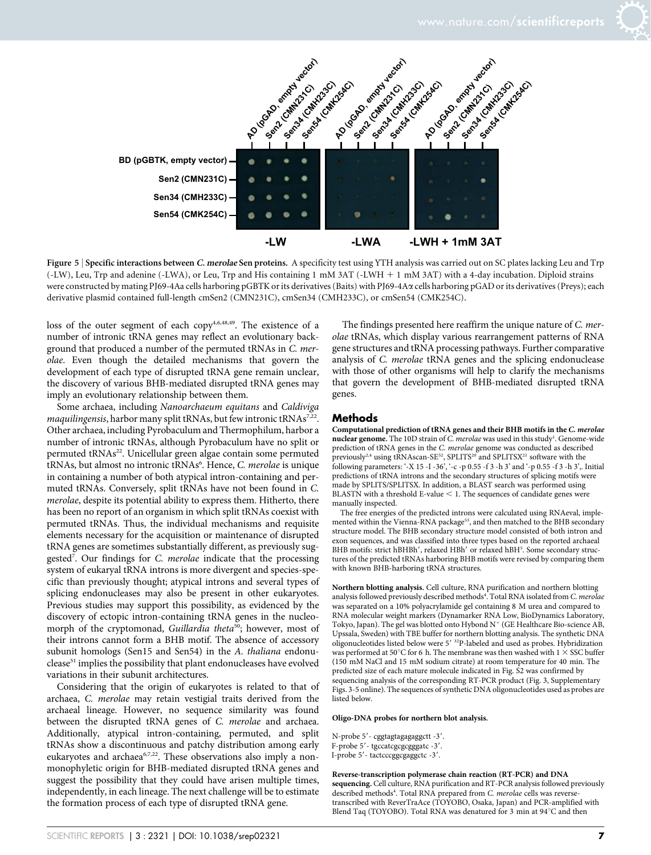

Figure 5 | Specific interactions between C. merolae Sen proteins. A specificity test using YTH analysis was carried out on SC plates lacking Leu and Trp (-LW), Leu, Trp and adenine (-LWA), or Leu, Trp and His containing 1 mM 3AT (-LWH 1 1 mM 3AT) with a 4-day incubation. Diploid strains were constructed by mating PJ69-4Aa cells harboring pGBTK or its derivatives (Baits) with PJ69-4Aa cells harboring pGAD or its derivatives (Preys); each derivative plasmid contained full-length cmSen2 (CMN231C), cmSen34 (CMH233C), or cmSen54 (CMK254C).

loss of the outer segment of each copy<sup>4,6,48,49</sup>. The existence of a number of intronic tRNA genes may reflect an evolutionary background that produced a number of the permuted tRNAs in C. merolae. Even though the detailed mechanisms that govern the development of each type of disrupted tRNA gene remain unclear, the discovery of various BHB-mediated disrupted tRNA genes may imply an evolutionary relationship between them.

Some archaea, including Nanoarchaeum equitans and Caldiviga  $maguli ingensis, harbor many split tRNAs, but few intronic tRNAs<sup>7,22</sup>.$ Other archaea, including Pyrobaculum and Thermophilum, harbor a number of intronic tRNAs, although Pyrobaculum have no split or permuted tRNAs<sup>22</sup>. Unicellular green algae contain some permuted tRNAs, but almost no intronic tRNAs<sup>6</sup>. Hence, C. merolae is unique in containing a number of both atypical intron-containing and permuted tRNAs. Conversely, split tRNAs have not been found in C. merolae, despite its potential ability to express them. Hitherto, there has been no report of an organism in which split tRNAs coexist with permuted tRNAs. Thus, the individual mechanisms and requisite elements necessary for the acquisition or maintenance of disrupted tRNA genes are sometimes substantially different, as previously suggested<sup>7</sup>. Our findings for C. merolae indicate that the processing system of eukaryal tRNA introns is more divergent and species-specific than previously thought; atypical introns and several types of splicing endonucleases may also be present in other eukaryotes. Previous studies may support this possibility, as evidenced by the discovery of ectopic intron-containing tRNA genes in the nucleomorph of the cryptomonad, Guillardia theta<sup>50</sup>; however, most of their introns cannot form a BHB motif. The absence of accessory subunit homologs (Sen15 and Sen54) in the A. thaliana endonuclease<sup>51</sup> implies the possibility that plant endonucleases have evolved variations in their subunit architectures.

Considering that the origin of eukaryotes is related to that of archaea, C. merolae may retain vestigial traits derived from the archaeal lineage. However, no sequence similarity was found between the disrupted tRNA genes of C. merolae and archaea. Additionally, atypical intron-containing, permuted, and split tRNAs show a discontinuous and patchy distribution among early eukaryotes and archaea<sup>6,7,22</sup>. These observations also imply a nonmonophyletic origin for BHB-mediated disrupted tRNA genes and suggest the possibility that they could have arisen multiple times, independently, in each lineage. The next challenge will be to estimate the formation process of each type of disrupted tRNA gene.

The findings presented here reaffirm the unique nature of C. merolae tRNAs, which display various rearrangement patterns of RNA gene structures and tRNA processing pathways. Further comparative analysis of C. merolae tRNA genes and the splicing endonuclease with those of other organisms will help to clarify the mechanisms that govern the development of BHB-mediated disrupted tRNA genes.

#### **Methods**

Computational prediction of tRNA genes and their BHB motifs in the C. merolae nuclear genome. The 10D strain of C. merolae was used in this study<sup>1</sup>. Genome-wide prediction of tRNA genes in the C. merolae genome was conducted as described previously<sup>2,4</sup> using tRNAscan-SE<sup>52</sup>, SPLITS<sup>20</sup> and SPLITSX<sup>21</sup> software with the following parameters: '-X 15 -I -36', '-c -p 0.55 -f 3 -h 3' and '-p 0.55 -f 3 -h 3',. Initial predictions of tRNA introns and the secondary structures of splicing motifs were made by SPLITS/SPLITSX. In addition, a BLAST search was performed using BLASTN with a threshold E-value  $<$  1. The sequences of candidate genes were manually inspected.

The free energies of the predicted introns were calculated using RNAeval, implemented within the Vienna-RNA package<sup>53</sup>, and then matched to the BHB secondary structure model. The BHB secondary structure model consisted of both intron and exon sequences, and was classified into three types based on the reported archaeal BHB motifs: strict hBHBh', relaxed HBh' or relaxed hBH<sup>5</sup>. Some secondary structures of the predicted tRNAs harboring BHB motifs were revised by comparing them with known BHB-harboring tRNA structures.

Northern blotting analysis. Cell culture, RNA purification and northern blotting analysis followed previously described methods<sup>4</sup>. Total RNA isolated from C. merolae was separated on a 10% polyacrylamide gel containing 8 M urea and compared to RNA molecular weight markers (Dynamarker RNA Low, BioDynamics Laboratory, Tokyo, Japan). The gel was blotted onto Hybond  $N^+$  (GE Healthcare Bio-science AB, Upssala, Sweden) with TBE buffer for northern blotting analysis. The synthetic DNA oligonucleotides listed below were 5' <sup>32</sup>P-labeled and used as probes. Hybridization was performed at 50°C for 6 h. The membrane was then washed with 1  $\times$  SSC buffer (150 mM NaCl and 15 mM sodium citrate) at room temperature for 40 min. The predicted size of each mature molecule indicated in Fig. S2 was confirmed by sequencing analysis of the corresponding RT-PCR product (Fig. 3, Supplementary Figs. 3-5 online). The sequences of synthetic DNA oligonucleotides used as probes are listed below.

#### Oligo-DNA probes for northern blot analysis.

N-probe 5'- cggtagtagagaggctt -3'. F-probe 5'- tgccatcgcggggatc -3'. I-probe 5'- tactcccggcgaggctc -3'.

Reverse-transcription polymerase chain reaction (RT-PCR) and DNA sequencing. Cell culture, RNA purification and RT-PCR analysis followed previously described methods<sup>4</sup>. Total RNA prepared from C. merolae cells was reversetranscribed with ReverTraAce (TOYOBO, Osaka, Japan) and PCR-amplified with Blend Taq (TOYOBO). Total RNA was denatured for 3 min at 94°C and then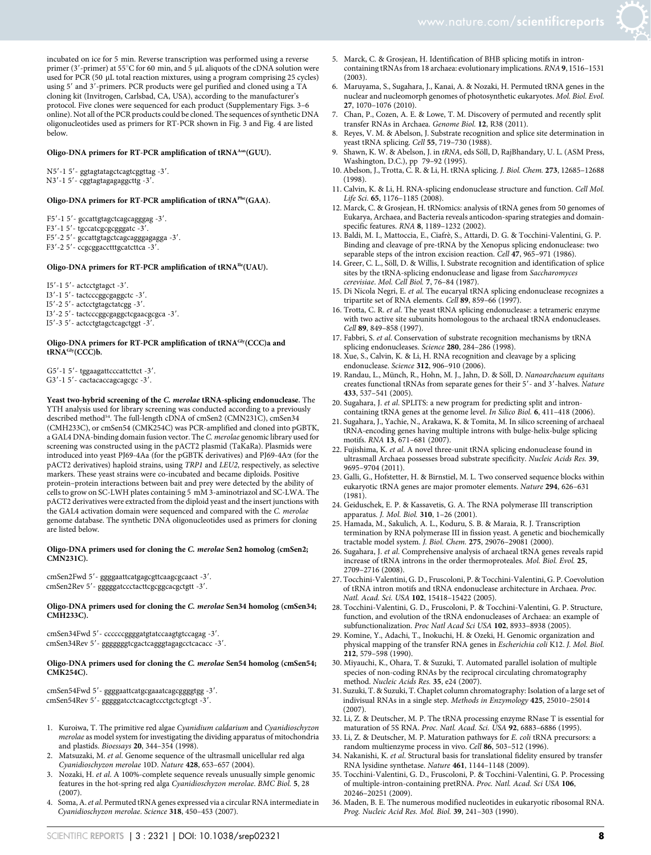#### Oligo-DNA primers for RT-PCR amplification of tRNA<sup>Asn</sup>(GUU).

N5'-1 5'- ggtagtatagctcagtcggttag -3'. N3'-1 5'- cggtagtagagaggcttg -3'.

#### Oligo-DNA primers for RT-PCR amplification of tRNAPhe(GAA).

F5'-1 5'- gccattgtagctcagcagggag -3'.

- F3'-1 5'- tgccatcgcgcgggatc -3'.
- F5'-2 5'- gccattgtagctcagcagggagaga -3'.
- F3'-2 5'- ccgcggacctttgcatcttca -3'

#### Oligo-DNA primers for RT-PCR amplification of tRNAIle(UAU).

I5 $'$ -1 5 $'$ - actcctgtagct -3'.

I3'-1 5'- tactcccggcgaggctc -3'.

- I5 $^{\prime}$ -2 5 $^{\prime}$  actcctgtagctatcgg -3 $^{\prime}$ .
- I3'-2 5'- tactcccggcgaggctcgaacgcgca -3'.
- I5'-3 5'- actcctgtagctcagctggt -3'

#### Oligo-DNA primers for RT-PCR amplification of tRNA<sup>Gly</sup>(CCC)a and tRNAGly(CCC)b.

G5'-1 5'- tggaagattcccattcttct -3'. G3'-1 5'- cactacaccagcagcgc -3'.

Yeast two-hybrid screening of the C. merolae tRNA-splicing endonuclease. The YTH analysis used for library screening was conducted according to a previously described method<sup>54</sup>. The full-length cDNA of cmSen2 (CMN231C), cmSen34 (CMH233C), or cmSen54 (CMK254C) was PCR-amplified and cloned into pGBTK, a GAL4 DNA-binding domain fusion vector. The C. merolae genomic library used for screening was constructed using in the pACT2 plasmid (TaKaRa). Plasmids were introduced into yeast PJ69-4Aa (for the pGBTK derivatives) and PJ69-4Aa (for the pACT2 derivatives) haploid strains, using TRP1 and LEU2, respectively, as selective markers. These yeast strains were co-incubated and became diploids. Positive protein–protein interactions between bait and prey were detected by the ability of cells to grow on SC-LWH plates containing 5 mM 3-aminotriazol and SC-LWA. The pACT2 derivatives were extracted from the diploid yeast and the insert junctions with the GAL4 activation domain were sequenced and compared with the C. merolae genome database. The synthetic DNA oligonucleotides used as primers for cloning are listed below.

#### Oligo-DNA primers used for cloning the C. merolae Sen2 homolog (cmSen2; CMN231C).

cmSen2Fwd 5'- ggggaattcatgagcgttcaagcgcaact -3'. cmSen2Rev 5'- gggggatccctacttcgcggcacgctgtt -3'.

#### Oligo-DNA primers used for cloning the C. merolae Sen34 homolog (cmSen34; CMH233C).

cmSen34Fwd 5' - ccccccggggatgtatccaagtgtccagag -3'. cmSen34Rev 5'- gggggggtcgactcagggtagagcctcacacc -3'.

#### Oligo-DNA primers used for cloning the C. merolae Sen54 homolog (cmSen54; CMK254C).

cmSen54Fwd 5'- ggggaattcatgcgaaatcagcggggtgg -3'. cmSen54Rev 5'- gggggatcctcacagtccctgctcgtcgt -3'.

- 1. Kuroiwa, T. The primitive red algae Cyanidium caldarium and Cyanidioschyzon merolae as model system for investigating the dividing apparatus of mitochondria and plastids. Bioessays 20, 344–354 (1998).
- 2. Matsuzaki, M. et al. Genome sequence of the ultrasmall unicellular red alga Cyanidioschyzon merolae 10D. Nature 428, 653–657 (2004).
- 3. Nozaki, H. et al. A 100%-complete sequence reveals unusually simple genomic features in the hot-spring red alga Cyanidioschyzon merolae. BMC Biol. 5, 28 (2007).
- Soma, A. et al. Permuted tRNA genes expressed via a circular RNA intermediate in Cyanidioschyzon merolae. Science 318, 450–453 (2007).
- 
- 5. Marck, C. & Grosjean, H. Identification of BHB splicing motifs in introncontaining tRNAs from 18 archaea: evolutionary implications. RNA 9, 1516–1531 (2003).
- 6. Maruyama, S., Sugahara, J., Kanai, A. & Nozaki, H. Permuted tRNA genes in the nuclear and nucleomorph genomes of photosynthetic eukaryotes. Mol. Biol. Evol. 27, 1070–1076 (2010).
- 7. Chan, P., Cozen, A. E. & Lowe, T. M. Discovery of permuted and recently split transfer RNAs in Archaea. Genome Biol. 12, R38 (2011).
- Reyes, V. M. & Abelson, J. Substrate recognition and splice site determination in yeast tRNA splicing. Cell 55, 719–730 (1988).
- 9. Shawn, K. W. & Abelson, J. in tRNA, eds Söll, D, RajBhandary, U. L. (ASM Press, Washington, D.C.), pp 79–92 (1995).
- 10. Abelson, J., Trotta, C. R. & Li, H. tRNA splicing. J. Biol. Chem. 273, 12685–12688 (1998).
- 11. Calvin, K. & Li, H. RNA-splicing endonuclease structure and function. Cell Mol. Life Sci. 65, 1176–1185 (2008).
- 12. Marck, C. & Grosjean, H. tRNomics: analysis of tRNA genes from 50 genomes of Eukarya, Archaea, and Bacteria reveals anticodon-sparing strategies and domainspecific features. RNA 8, 1189-1232 (2002).
- 13. Baldi, M. I., Mattoccia, E., Ciafrè, S., Attardi, D. G. & Tocchini-Valentini, G. P. Binding and cleavage of pre-tRNA by the Xenopus splicing endonuclease: two separable steps of the intron excision reaction. Cell 47, 965–971 (1986).
- 14. Greer, C. L., Söll, D. & Willis, I. Substrate recognition and identification of splice sites by the tRNA-splicing endonuclease and ligase from Saccharomyces cerevisiae. Mol. Cell Biol. 7, 76–84 (1987).
- 15. Di Nicola Negri, E. et al. The eucaryal tRNA splicing endonuclease recognizes a tripartite set of RNA elements. Cell 89, 859–66 (1997).
- 16. Trotta, C. R. et al. The yeast tRNA splicing endonuclease: a tetrameric enzyme with two active site subunits homologous to the archaeal tRNA endonucleases. Cell 89, 849–858 (1997).
- 17. Fabbri, S. et al. Conservation of substrate recognition mechanisms by tRNA splicing endonucleases. Science 280, 284-286 (1998).
- 18. Xue, S., Calvin, K. & Li, H. RNA recognition and cleavage by a splicing endonuclease. Science 312, 906–910 (2006).
- 19. Randau, L., Münch, R., Hohn, M. J., Jahn, D. & Söll, D. Nanoarchaeum equitans creates functional tRNAs from separate genes for their 5'- and 3'-halves. Nature 433, 537–541 (2005).
- 20. Sugahara, J. et al. SPLITS: a new program for predicting split and introncontaining tRNA genes at the genome level. In Silico Biol. 6, 411–418 (2006).
- 21. Sugahara, J., Yachie, N., Arakawa, K. & Tomita, M. In silico screening of archaeal tRNA-encoding genes having multiple introns with bulge-helix-bulge splicing motifs. RNA 13, 671–681 (2007).
- 22. Fujishima, K. et al. A novel three-unit tRNA splicing endonuclease found in ultrasmall Archaea possesses broad substrate specificity. Nucleic Acids Res. 39, 9695–9704 (2011).
- 23. Galli, G., Hofstetter, H. & Birnstiel, M. L. Two conserved sequence blocks within eukaryotic tRNA genes are major promoter elements. Nature 294, 626–631 (1981).
- 24. Geiduschek, E. P. & Kassavetis, G. A. The RNA polymerase III transcription apparatus. J. Mol. Biol. 310, 1–26 (2001).
- 25. Hamada, M., Sakulich, A. L., Koduru, S. B. & Maraia, R. J. Transcription termination by RNA polymerase III in fission yeast. A genetic and biochemically tractable model system. J. Biol. Chem. 275, 29076–29081 (2000).
- 26. Sugahara, J. et al. Comprehensive analysis of archaeal tRNA genes reveals rapid increase of tRNA introns in the order thermoproteales. Mol. Biol. Evol. 25, 2709–2716 (2008).
- 27. Tocchini-Valentini, G. D., Fruscoloni, P. & Tocchini-Valentini, G. P. Coevolution of tRNA intron motifs and tRNA endonuclease architecture in Archaea. Proc. Natl. Acad. Sci. USA 102, 15418–15422 (2005).
- 28. Tocchini-Valentini, G. D., Fruscoloni, P. & Tocchini-Valentini, G. P. Structure, function, and evolution of the tRNA endonucleases of Archaea: an example of subfunctionalization. Proc Natl Acad Sci USA 102, 8933–8938 (2005).
- 29. Komine, Y., Adachi, T., Inokuchi, H. & Ozeki, H. Genomic organization and physical mapping of the transfer RNA genes in Escherichia coli K12. J. Mol. Biol. 212, 579–598 (1990).
- 30. Miyauchi, K., Ohara, T. & Suzuki, T. Automated parallel isolation of multiple species of non-coding RNAs by the reciprocal circulating chromatography method. Nucleic Acids Res. 35, e24 (2007).
- 31. Suzuki, T. & Suzuki, T. Chaplet column chromatography: Isolation of a large set of indivisual RNAs in a single step. Methods in Enzymology 425, 25010–25014  $(2007)$
- 32. Li, Z. & Deutscher, M. P. The tRNA processing enzyme RNase T is essential for maturation of 5S RNA. Proc. Natl. Acad. Sci. USA 92, 6883-6886 (1995).
- 33. Li, Z. & Deutscher, M. P. Maturation pathways for E. coli tRNA precursors: a random multienzyme process in vivo. Cell 86, 503–512 (1996).
- 34. Nakanishi, K. et al. Structural basis for translational fidelity ensured by transfer RNA lysidine synthetase. Nature 461, 1144–1148 (2009).
- 35. Tocchini-Valentini, G. D., Fruscoloni, P. & Tocchini-Valentini, G. P. Processing of multiple-intron-containing pretRNA. Proc. Natl. Acad. Sci USA 106, 20246–20251 (2009).
- 36. Maden, B. E. The numerous modified nucleotides in eukaryotic ribosomal RNA. Prog. Nucleic Acid Res. Mol. Biol. 39, 241–303 (1990).